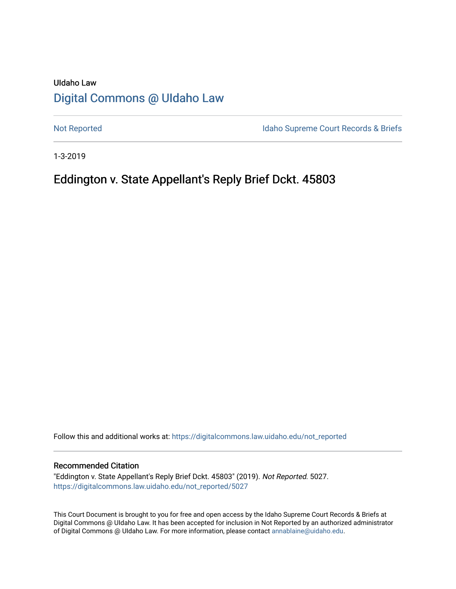# UIdaho Law [Digital Commons @ UIdaho Law](https://digitalcommons.law.uidaho.edu/)

[Not Reported](https://digitalcommons.law.uidaho.edu/not_reported) **Idaho Supreme Court Records & Briefs** 

1-3-2019

## Eddington v. State Appellant's Reply Brief Dckt. 45803

Follow this and additional works at: [https://digitalcommons.law.uidaho.edu/not\\_reported](https://digitalcommons.law.uidaho.edu/not_reported?utm_source=digitalcommons.law.uidaho.edu%2Fnot_reported%2F5027&utm_medium=PDF&utm_campaign=PDFCoverPages) 

### Recommended Citation

"Eddington v. State Appellant's Reply Brief Dckt. 45803" (2019). Not Reported. 5027. [https://digitalcommons.law.uidaho.edu/not\\_reported/5027](https://digitalcommons.law.uidaho.edu/not_reported/5027?utm_source=digitalcommons.law.uidaho.edu%2Fnot_reported%2F5027&utm_medium=PDF&utm_campaign=PDFCoverPages)

This Court Document is brought to you for free and open access by the Idaho Supreme Court Records & Briefs at Digital Commons @ UIdaho Law. It has been accepted for inclusion in Not Reported by an authorized administrator of Digital Commons @ UIdaho Law. For more information, please contact [annablaine@uidaho.edu](mailto:annablaine@uidaho.edu).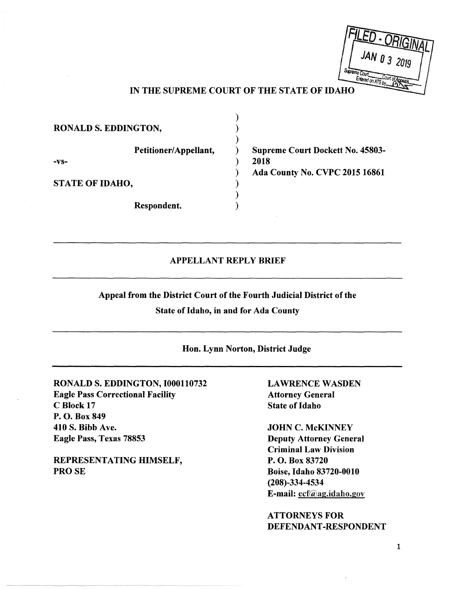|       | JAN 0 3 2019                       |  |
|-------|------------------------------------|--|
| 9. FI | Supreme Court<br>Entered on ATS by |  |

### IN THE SUPREME COURT OF THE STATE OF IDAHO

| RONALD S. EDDINGTON,   |  |       |
|------------------------|--|-------|
|                        |  |       |
| Petitioner/Appellant,  |  | Supr  |
| $-VS-$                 |  | 2018  |
|                        |  | Ada ( |
| <b>STATE OF IDAHO,</b> |  |       |
|                        |  |       |
| Respondent.            |  |       |

eme Court Dockett No. 45803-**County No. CVPC 2015 16861** 

### APPELLANT REPLY BRIEF

Appeal from the District Court of the Fourth Judicial District of the

State of Idaho, in and for Ada County

Hon. Lynn Norton, District Judge

RONALD S. EDDINGTON, l000110732 Eagle Pass Correctional Facility C Block 17 P.O. Box 849 410 S. Bibb Ave. Eagle Pass, Texas 78853

REPRESENTATING HIMSELF, PROSE

**LAWRENCE WASDEN** Attorney General State of Idaho

JOHN C. McKINNEY Deputy Attorney General Criminal Law Division P. 0. Box 83720 Boise, Idaho 83720-0010 (208)-334-4534 E-mail: ecf@ag.idaho.gov

ATTORNEYS FOR DEFENDANT-RESPONDENT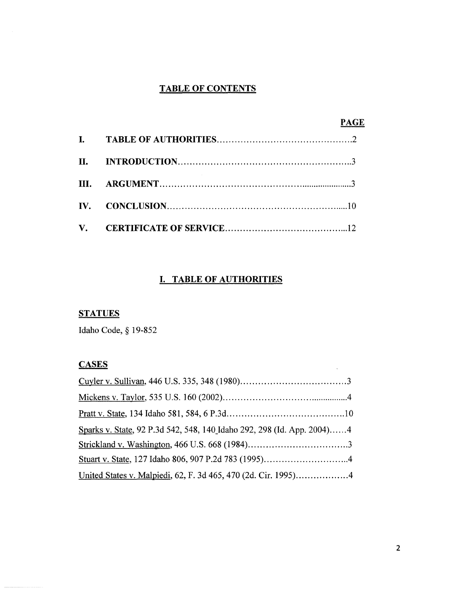## **TABLE OF CONTENTS**

|                       | <b>PAGE</b> |
|-----------------------|-------------|
|                       |             |
|                       |             |
|                       |             |
| $\mathbf{IV}_{\cdot}$ |             |
|                       |             |

### **I. TABLE OF AUTHORITIES**

# **STATUES**

Idaho Code, § 19-852

### **CASES**

| Sparks v. State, 92 P.3d 542, 548, 140 Idaho 292, 298 (Id. App. 2004)4 |  |
|------------------------------------------------------------------------|--|
|                                                                        |  |
|                                                                        |  |
|                                                                        |  |

 $\sim$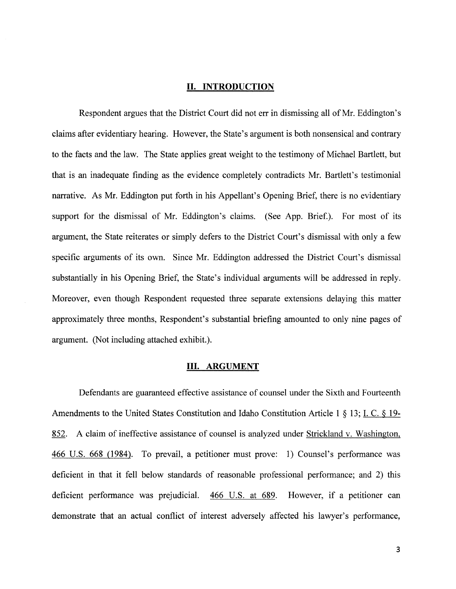#### **II. INTRODUCTION**

Respondent argues that the District Court did not err in dismissing all of Mr. Eddington's claims after evidentiary hearing. However, the State's argument is both nonsensical and contrary to the facts and the law. The State applies great weight to the testimony of Michael Bartlett, but that is an inadequate finding as the evidence completely contradicts Mr. Bartlett's testimonial narrative. As Mr. Eddington put forth in his Appellant's Opening Brief, there is no evidentiary support for the dismissal of Mr. Eddington's claims. (See App. Brief.). For most of its argument, the State reiterates or simply defers to the District Court's dismissal with only a few specific arguments of its own. Since Mr. Eddington addressed the District Court's dismissal substantially in his Opening Brief, the State's individual arguments will be addressed in reply. Moreover, even though Respondent requested three separate extensions delaying this matter approximately three months, Respondent's substantial briefing amounted to only nine pages of argument. (Not including attached exhibit.).

### **III. ARGUMENT**

Defendants are guaranteed effective assistance of counsel under the Sixth and Fourteenth Amendments to the United States Constitution and Idaho Constitution Article 1 § 13; I. C. § 19- 852. A claim of ineffective assistance of counsel is analyzed under Strickland v. Washington, 466 U.S. 668 (1984). To prevail, a petitioner must prove: 1) Counsel's performance was deficient in that it fell below standards of reasonable professional performance; and 2) this deficient performance was prejudicial. 466 U.S. at 689. However, if a petitioner can demonstrate that an actual conflict of interest adversely affected his lawyer's performance,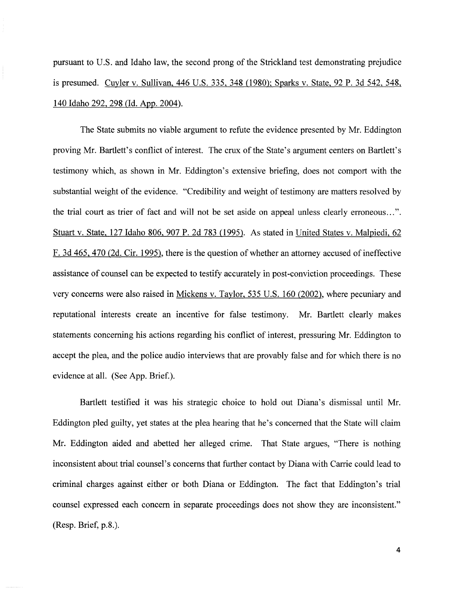pursuant to U.S. and Idaho law, the second prong of the Strickland test demonstrating prejudice is presumed. Cuyler v. Sullivan, 446 U.S. 335, 348 (1980); Sparks v. State, 92 P. 3d 542, 548, 140 Idaho 292,298 (Id. App. 2004).

The State submits no viable argument to refute the evidence presented by Mr. Eddington proving Mr. Bartlett's conflict of interest. The crux of the State's argument centers on Bartlett's testimony which, as shown in Mr. Eddington's extensive briefing, does not comport with the substantial weight of the evidence. "Credibility and weight of testimony are matters resolved by the trial court as trier of fact and will not be set aside on appeal unless clearly erroneous ... ". Stuart v. State, 127 Idaho 806, 907 P. 2d 783 (1995). As stated in United States v. Malpiedi, 62 F. 3d 465,470 (2d. Cir. 1995). there is the question of whether an attorney accused of ineffective assistance of counsel can be expected to testify accurately in post-conviction proceedings. These very concerns were also raised in Mickens v. Taylor, 535 U.S. 160 (2002), where pecuniary and reputational interests create an incentive for false testimony. Mr. Bartlett clearly makes statements concerning his actions regarding his conflict of interest, pressuring Mr. Eddington to accept the plea, and the police audio interviews that are provably false and for which there is no evidence at all. (See App. Brief.).

Bartlett testified it was his strategic choice to hold out Diana's dismissal until Mr. Eddington pied guilty, yet states at the plea hearing that he's concerned that the State will claim Mr. Eddington aided and abetted her alleged crime. That State argues, "There is nothing inconsistent about trial counsel's concerns that further contact by Diana with Carrie could lead to criminal charges against either or both Diana or Eddington. The fact that Eddington's trial counsel expressed each concern in separate proceedings does not show they are inconsistent." (Resp. Brief, p.8.).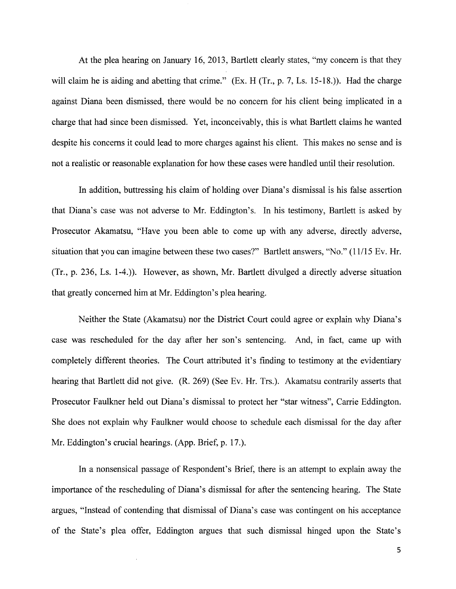At the plea hearing on January 16, 2013, Bartlett clearly states, "my concern is that they will claim he is aiding and abetting that crime." (Ex. H (Tr., p. 7, Ls. 15-18.)). Had the charge against Diana been dismissed, there would be no concern for his client being implicated in a charge that had since been dismissed. Yet, inconceivably, this is what Bartlett claims he wanted despite his concerns it could lead to more charges against his client. This makes no sense and is not a realistic or reasonable explanation for how these cases were handled until their resolution.

In addition, buttressing his claim of holding over Diana's dismissal is his false assertion that Diana's case was not adverse to Mr. Eddington's. In his testimony, Bartlett is asked by Prosecutor Akamatsu, "Have you been able to come up with any adverse, directly adverse, situation that you can imagine between these two cases?" Bartlett answers, "No." (11/15 Ev. Hr. (Tr., p. 236, Ls. 1-4.)). However, as shown, Mr. Bartlett divulged a directly adverse situation that greatly concerned him at Mr. Eddington's plea hearing.

Neither the State (Akamatsu) nor the District Court could agree or explain why Diana's case was rescheduled for the day after her son's sentencing. And, in fact, came up with completely different theories. The Court attributed it's finding to testimony at the evidentiary hearing that Bartlett did not give. (R. 269) (See Ev. Hr. Trs.). Akamatsu contrarily asserts that Prosecutor Faulkner held out Diana's dismissal to protect her "star witness", Carrie Eddington. She does not explain why Faulkner would choose to schedule each dismissal for the day after Mr. Eddington's crucial hearings. (App. Brief, p. 17.).

In a nonsensical passage of Respondent's Brief, there is an attempt to explain away the importance of the rescheduling of Diana's dismissal for after the sentencing hearing. The State argues, "Instead of contending that dismissal of Diana's case was contingent on his acceptance of the State's plea offer, Eddington argues that such dismissal hinged upon the State's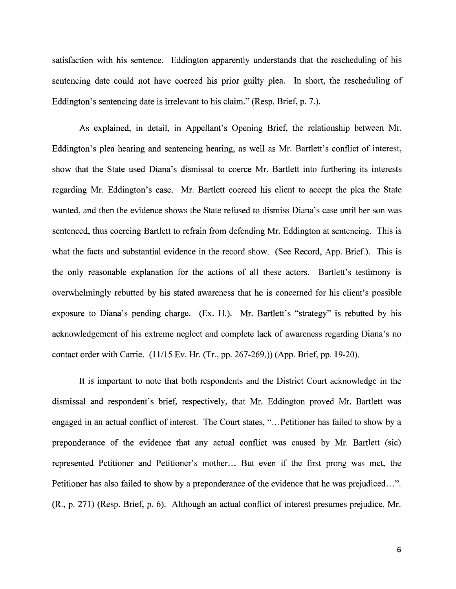satisfaction with his sentence. Eddington apparently understands that the rescheduling of his sentencing date could not have coerced his prior guilty plea. In short, the rescheduling of Eddington's sentencing date is irrelevant to his claim." (Resp. Brief, p. 7.).

As explained, in detail, in Appellant's Opening Brief, the relationship between Mr. Eddington's plea hearing and sentencing hearing, as well as Mr. Bartlett's conflict of interest, show that the State used Diana's dismissal to coerce Mr. Bartlett into furthering its interests regarding Mr. Eddington's case. Mr. Bartlett coerced his client to accept the plea the State wanted, and then the evidence shows the State refused to dismiss Diana's case until her son was sentenced, thus coercing Bartlett to refrain from defending Mr. Eddington at sentencing. This is what the facts and substantial evidence in the record show. (See Record, App. Brief.). This is the only reasonable explanation for the actions of all these actors. Bartlett's testimony is overwhelmingly rebutted by his stated awareness that he is concerned for his client's possible exposure to Diana's pending charge. (Ex. H.). Mr. Bartlett's "strategy" is rebutted by his acknowledgement of his extreme neglect and complete lack of awareness regarding Diana's no contact order with Carrie. (11/15 Ev. Hr. (Tr., pp. 267-269.)) (App. Brief, pp. 19-20).

It is important to note that both respondents and the District Court acknowledge in the dismissal and respondent's brief, respectively, that Mr. Eddington proved Mr. Bartlett was engaged in an actual conflict of interest. The Court states, "... Petitioner has failed to show by a preponderance of the evidence that any actual conflict was caused by Mr. Bartlett (sic) represented Petitioner and Petitioner's mother.:. But even if the first prong was met, the Petitioner has also failed to show by a preponderance of the evidence that he was prejudiced...". (R., p. 271) (Resp. Brief, p. 6). Although an actual conflict of interest presumes prejudice, Mr.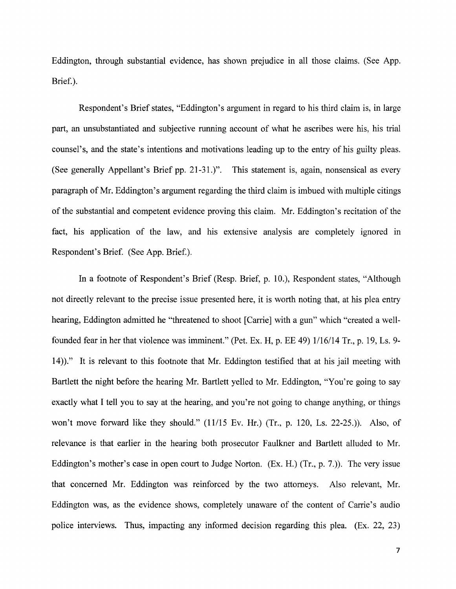Eddington, through substantial evidence, has shown prejudice in all those claims. (See App. Brief.).

Respondent's Brief states, "Eddington's argument in regard to his third claim is, in large part, an unsubstantiated and subjective running account of what he ascribes were his, his trial counsel's, and the state's intentions and motivations leading up to the entry of his guilty pleas. (See generally Appellant's Brief pp. 21-31.)". This statement is, again, nonsensical as every paragraph of Mr. Eddington's argument regarding the third claim is imbued with multiple citings of the substantial and competent evidence proving this claim. Mr. Eddington's recitation of the fact, his application of the law, and his extensive analysis are completely ignored in Respondent's Brief. (See App. Brief.).

In a footnote of Respondent's Brief (Resp. Brief, p. 10.), Respondent states, "Although not directly relevant to the precise issue presented here, it is worth noting that, at his plea entry hearing, Eddington admitted he "threatened to shoot [Carrie] with a gun" which "created a wellfounded fear in her that violence was imminent." (Pet. Ex. H, p. EE 49) 1/16/14 Tr., p. 19, Ls. 9- 14))." It is relevant to this footnote that Mr. Eddington testified that at his jail meeting with Bartlett the night before the hearing Mr. Bartlett yelled to Mr. Eddington, "You're going to say exactly what I tell you to say at the hearing, and you're not going to change anything, or things won't move forward like they should." (11/15 Ev. Hr.) (Tr., p. 120, Ls. 22-25.)). Also, of relevance is that earlier in the hearing both prosecutor Faulkner and Bartlett alluded to Mr. Eddington's mother's case in open court to Judge Norton. (Ex. H.) (Tr., p. 7.)). The very issue that concerned Mr. Eddington was reinforced by the two attorneys. Also relevant, Mr. Eddington was, as the evidence shows, completely unaware of the content of Carrie's audio police interviews. Thus, impacting any informed decision regarding this plea. (Ex. 22, 23)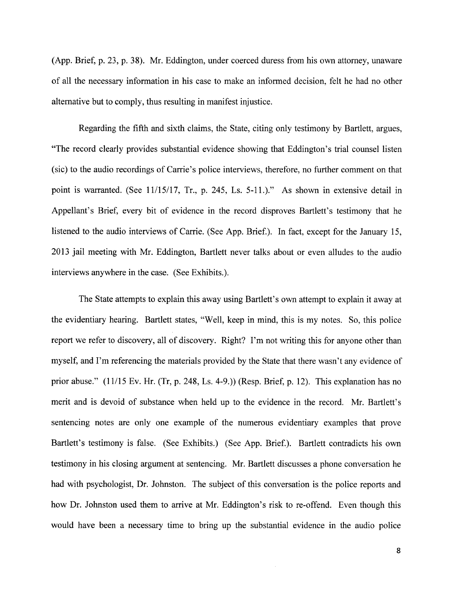(App. Brief, p. 23, p. 38). Mr. Eddington, under coerced duress from his own attorney, unaware of all the necessary information in his case to make an informed decision, felt he had no other alternative but to comply, thus resulting in manifest injustice.

Regarding the fifth and sixth claims, the State, citing only testimony by Bartlett, argues, "The record clearly provides substantial evidence showing that Eddington's trial counsel listen (sic) to the audio recordings of Carrie's police interviews, therefore, no further comment on that point is warranted. (See 11/15/17, Tr., p. 245, Ls. 5-11.)." As shown in extensive detail in Appellant's Brief, every bit of evidence in the record disproves Bartlett's testimony that he listened to the audio interviews of Carrie. (See App. Brief.). In fact, except for the January 15, 2013 jail meeting with Mr. Eddington, Bartlett never talks about or even alludes to the audio interviews anywhere in the case. (See Exhibits.).

The State attempts to explain this away using Bartlett's own attempt to explain it away at the evidentiary hearing. Bartlett states, "Well, keep in mind, this is my notes. So, this police report we refer to discovery, all of discovery. Right? I'm not writing this for anyone other than myself, and I'm referencing the materials provided by the State that there wasn't any evidence of prior abuse." (11/15 Ev. Hr. (Tr, p. 248, Ls. 4-9.)) (Resp. Brief, p. 12). This explanation has no merit and is devoid of substance when held up to the evidence in the record. Mr. Bartlett's sentencing notes are only one example of the numerous evidentiary examples that prove Bartlett's testimony is false. (See Exhibits.) (See App. Brief.). Bartlett contradicts his own testimony in his closing argument at sentencing. Mr. Bartlett discusses a phone conversation he had with psychologist, Dr. Johnston. The subject of this conversation is the police reports and how Dr. Johnston used them to arrive at Mr. Eddington's risk to re-offend. Even though this would have been a necessary time to bring up the substantial evidence in the audio police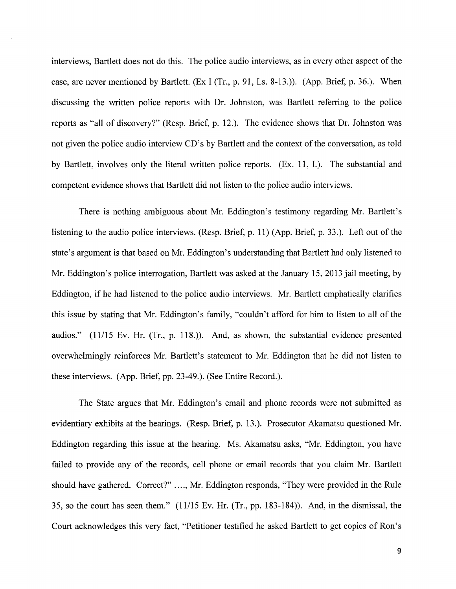interviews, Bartlett does not do this. The police audio interviews, as in every other aspect of the case, are never mentioned by Bartlett. (Ex I (Tr., p. 91, Ls. 8-13.)). (App. Brief, p. 36.). When discussing the written police reports with Dr. Johnston, was Bartlett referring to the police reports as "all of discovery?" (Resp. Brief, p. 12.). The evidence shows that Dr. Johnston was not given the police audio interview CD's by Bartlett and the context of the conversation, as told by Bartlett, involves only the literal written police reports. (Ex. 11, I.). The substantial and competent evidence shows that Bartlett did not listen to the police audio interviews.

There is nothing ambiguous about Mr. Eddington's testimony regarding Mr. Bartlett's listening to the audio police interviews. (Resp. Brief, p. 11) (App. Brief, p. 33.). Left out of the state's argument is that based on Mr. Eddington's understanding that Bartlett had only listened to Mr. Eddington's police interrogation, Bartlett was asked at the January 15, 2013 jail meeting, by Eddington, if he had listened to the police audio interviews. Mr. Bartlett emphatically clarifies this issue by stating that Mr. Eddington's family, "couldn't afford for him to listen to all of the audios." (11/15 Ev. Hr. (Tr., p. 118.)). And, as shown, the substantial evidence presented overwhelmingly reinforces Mr. Bartlett's statement to Mr. Eddington that he did not listen to these interviews. (App. Brief, pp. 23-49.). (See Entire Record.).

The State argues that Mr. Eddington's email and phone records were not submitted as evidentiary exhibits at the hearings. (Resp. Brief, p. 13.). Prosecutor Akamatsu questioned Mr. Eddington regarding this issue at the hearing. Ms. Akamatsu asks, "Mr. Eddington, you have failed to provide any of the records, cell phone or email records that you claim Mr. Bartlett should have gathered. Correct?" .... , Mr. Eddington responds, "They were provided in the Rule 35, so the court has seen them." (11/15 Ev. Hr. (Tr., pp. 183-184)). And, in the dismissal, the Court acknowledges this very fact, "Petitioner testified he asked Bartlett to get copies of Ron's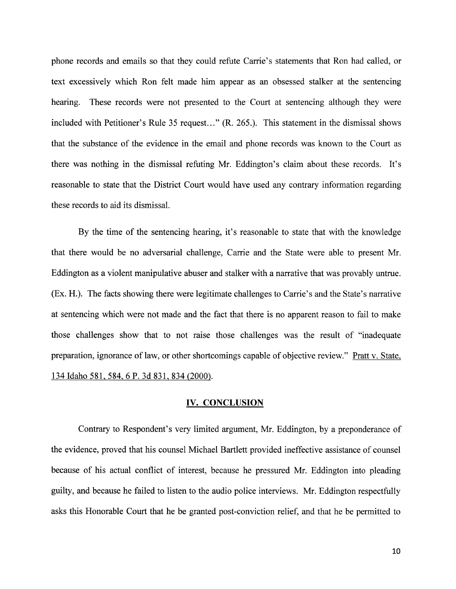phone records and emails so that they could refute Carrie's statements that Ron had called, or text excessively which Ron felt made him appear as an obsessed stalker at the sentencing hearing. These records were not presented to the Court at sentencing although they were included with Petitioner's Rule 35 request..." (R. 265.). This statement in the dismissal shows that the substance of the evidence in the email and phone records was known to the Court as there was nothing in the dismissal refuting Mr. Eddington's claim about these records. It's reasonable to state that the District Court would have used any contrary information regarding these records to aid its dismissal.

By the time of the sentencing hearing, it's reasonable to state that with the knowledge that there would be no adversarial challenge, Carrie and the State were able to present Mr. Eddington as a violent manipulative abuser and stalker with a narrative that was provably untrue. (Ex. H.). The facts showing there were legitimate challenges to Carrie's and the State's narrative at sentencing which were not made and the fact that there is no apparent reason to fail to make those challenges show that to not raise those challenges was the result of "inadequate preparation, ignorance of law, or other shortcomings capable of objective review." Pratt v. State, 134 Idaho 581,584, 6 P. 3d 831,834 (2000).

### **IV. CONCLUSION**

Contrary to Respondent's very limited argument, Mr. Eddington, by a preponderance of the evidence, proved that his counsel Michael Bartlett provided ineffective assistance of counsel because of his actual conflict of interest, because he pressured Mr. Eddington into pleading guilty, and because he failed to listen to the audio police interviews. Mr. Eddington respectfully asks this Honorable Court that he be granted post-conviction relief, and that he be permitted to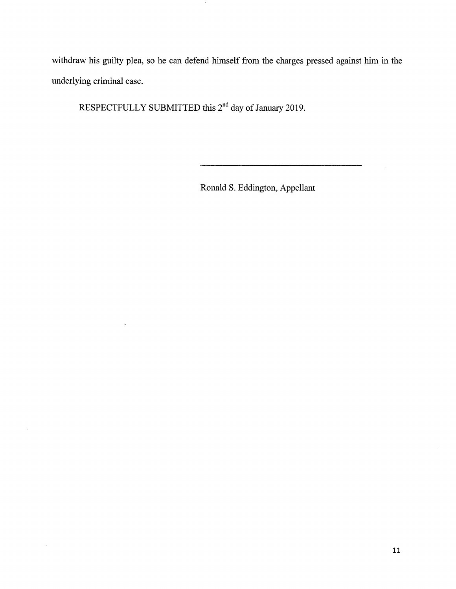withdraw his guilty plea, so he can defend himself from the charges pressed against him in the underlying criminal case.

RESPECTFULLY SUBMITTED this 2<sup>nd</sup> day of January 2019.

 $\hat{\mathbf{v}}$ 

Ronald S. Eddington, Appellant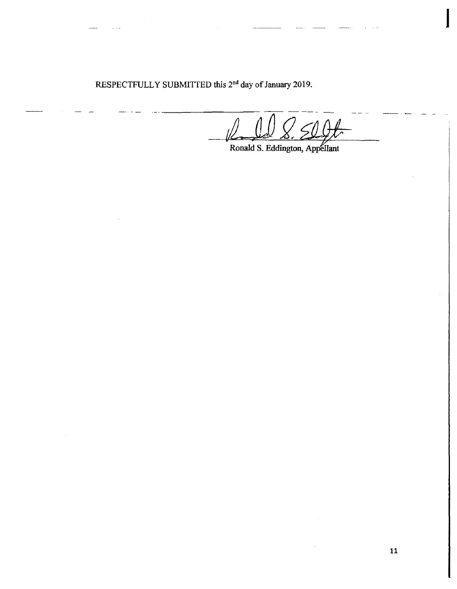RESPECTFULLY SUBMITTED this 2<sup>nd</sup> day of January 2019.

 $\sqrt{2\pi d} \sqrt{2\pi}$ Ronald S. Eddington, *<sup>Q</sup>*~ Appellant

I